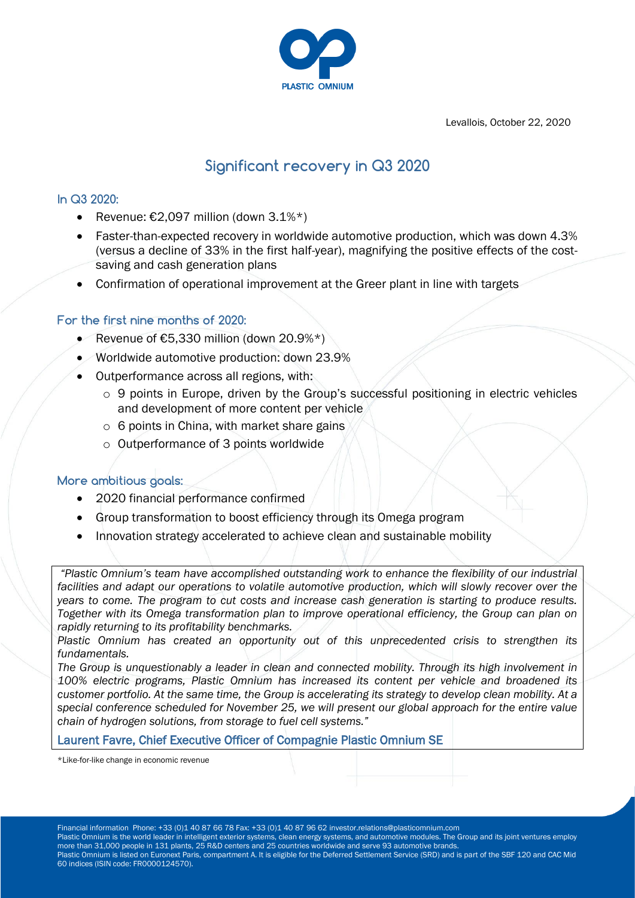

Levallois, October 22, 2020

# **Significant recovery in Q3 2020**

# **In Q3 2020:**

- Revenue:  $€2.097$  million (down  $3.1\%*$ )
- Faster-than-expected recovery in worldwide automotive production, which was down 4.3% (versus a decline of 33% in the first half-year), magnifying the positive effects of the costsaving and cash generation plans
- Confirmation of operational improvement at the Greer plant in line with targets

## **For the first nine months of 2020:**

- Revenue of  $E$ 5,330 million (down 20.9%\*)
- Worldwide automotive production: down 23.9%
- Outperformance across all regions, with:
	- o 9 points in Europe, driven by the Group's successful positioning in electric vehicles and development of more content per vehicle
	- o 6 points in China, with market share gains
	- o Outperformance of 3 points worldwide

## **More ambitious goals:**

- 2020 financial performance confirmed
- Group transformation to boost efficiency through its Omega program
- Innovation strategy accelerated to achieve clean and sustainable mobility

*"Plastic Omnium's team have accomplished outstanding work to enhance the flexibility of our industrial*  facilities and adapt our operations to volatile automotive production, which will slowly recover over the *years to come. The program to cut costs and increase cash generation is starting to produce results. Together with its Omega transformation plan to improve operational efficiency, the Group can plan on rapidly returning to its profitability benchmarks.*

Plastic Omnium has created an opportunity out of this unprecedented crisis to strengthen its *fundamentals.*

*The Group is unquestionably a leader in clean and connected mobility. Through its high involvement in 100% electric programs, Plastic Omnium has increased its content per vehicle and broadened its customer portfolio. At the same time, the Group is accelerating its strategy to develop clean mobility. At a special conference scheduled for November 25, we will present our global approach for the entire value chain of hydrogen solutions, from storage to fuel cell systems."*

## Laurent Favre, Chief Executive Officer of Compagnie Plastic Omnium SE

\*Like-for-like change in economic revenue

Financial information Phone: +33 (0)1 40 87 66 78 Fax: +33 (0)1 40 87 96 62 investor.relations@plasticomnium.com Plastic Omnium is the world leader in intelligent exterior systems, clean energy systems, and automotive modules. The Group and its joint ventures employ more than 31,000 people in 131 plants, 25 R&D centers and 25 countries worldwide and serve 93 automotive brands. Plastic Omnium is listed on Euronext Paris, compartment A. It is eligible for the Deferred Settlement Service (SRD) and is part of the SBF 120 and CAC Mid 60 indices (ISIN code: FR0000124570).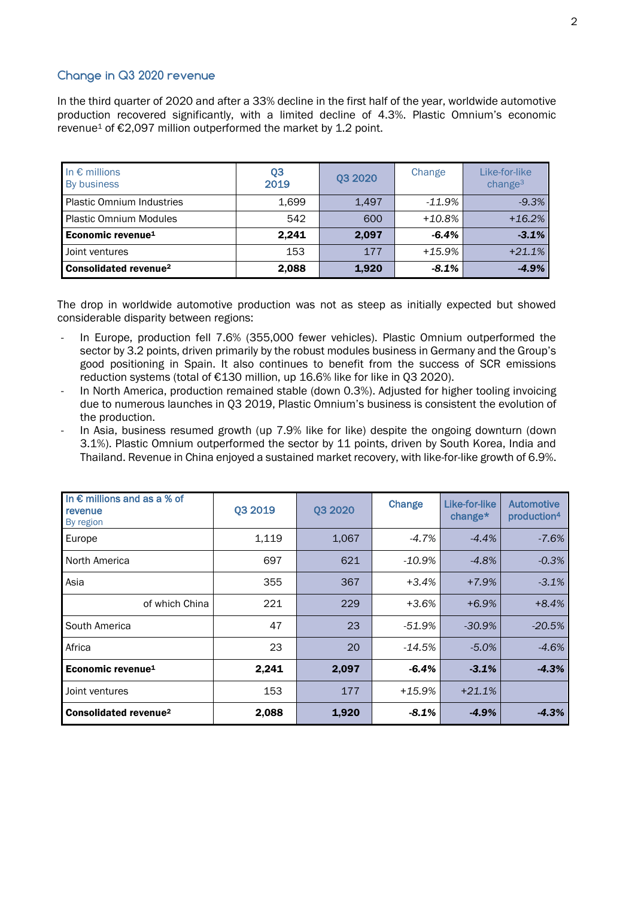# **Change in Q3 2020 revenue**

In the third quarter of 2020 and after a 33% decline in the first half of the year, worldwide automotive production recovered significantly, with a limited decline of 4.3%. Plastic Omnium's economic revenue<sup>1</sup> of  $\epsilon$ 2,097 million outperformed the market by 1.2 point.

| In $\epsilon$ millions<br>By business | Q <sub>3</sub><br>2019 | 03 20 20 | Change    | Like-for-like<br>change <sup>3</sup> |
|---------------------------------------|------------------------|----------|-----------|--------------------------------------|
| <b>Plastic Omnium Industries</b>      | 1,699                  | 1.497    | $-11.9\%$ | $-9.3%$                              |
| <b>Plastic Omnium Modules</b>         | 542                    | 600      | $+10.8\%$ | $+16.2%$                             |
| Economic revenue <sup>1</sup>         | 2.241                  | 2,097    | $-6.4%$   | $-3.1%$                              |
| Joint ventures                        | 153                    | 177      | $+15.9%$  | $+21.1%$                             |
| Consolidated revenue <sup>2</sup>     | 2,088                  | 1,920    | $-8.1%$   | $-4.9%$                              |

The drop in worldwide automotive production was not as steep as initially expected but showed considerable disparity between regions:

- In Europe, production fell 7.6% (355,000 fewer vehicles). Plastic Omnium outperformed the sector by 3.2 points, driven primarily by the robust modules business in Germany and the Group's good positioning in Spain. It also continues to benefit from the success of SCR emissions reduction systems (total of €130 million, up 16.6% like for like in Q3 2020).
- In North America, production remained stable (down 0.3%). Adjusted for higher tooling invoicing due to numerous launches in Q3 2019, Plastic Omnium's business is consistent the evolution of the production.
- In Asia, business resumed growth (up 7.9% like for like) despite the ongoing downturn (down 3.1%). Plastic Omnium outperformed the sector by 11 points, driven by South Korea, India and Thailand. Revenue in China enjoyed a sustained market recovery, with like-for-like growth of 6.9%.

| In $\epsilon$ millions and as a % of<br>revenue<br>By region | Q3 2019 | Q3 2020 | Change    | Like-for-like<br>change $*$ | <b>Automotive</b><br>production <sup>4</sup> |
|--------------------------------------------------------------|---------|---------|-----------|-----------------------------|----------------------------------------------|
| Europe                                                       | 1,119   | 1,067   | $-4.7\%$  | $-4.4%$                     | $-7.6%$                                      |
| North America                                                | 697     | 621     | $-10.9\%$ | $-4.8%$                     | $-0.3%$                                      |
| Asia                                                         | 355     | 367     | $+3.4%$   | $+7.9%$                     | $-3.1%$                                      |
| of which China                                               | 221     | 229     | $+3.6%$   | $+6.9%$                     | $+8.4%$                                      |
| South America                                                | 47      | 23      | $-51.9%$  | $-30.9%$                    | $-20.5%$                                     |
| Africa                                                       | 23      | 20      | $-14.5\%$ | $-5.0%$                     | $-4.6%$                                      |
| Economic revenue <sup>1</sup>                                | 2,241   | 2,097   | $-6.4%$   | $-3.1%$                     | $-4.3%$                                      |
| Joint ventures                                               | 153     | 177     | $+15.9%$  | $+21.1%$                    |                                              |
| <b>Consolidated revenue<sup>2</sup></b>                      | 2,088   | 1,920   | $-8.1\%$  | $-4.9%$                     | $-4.3%$                                      |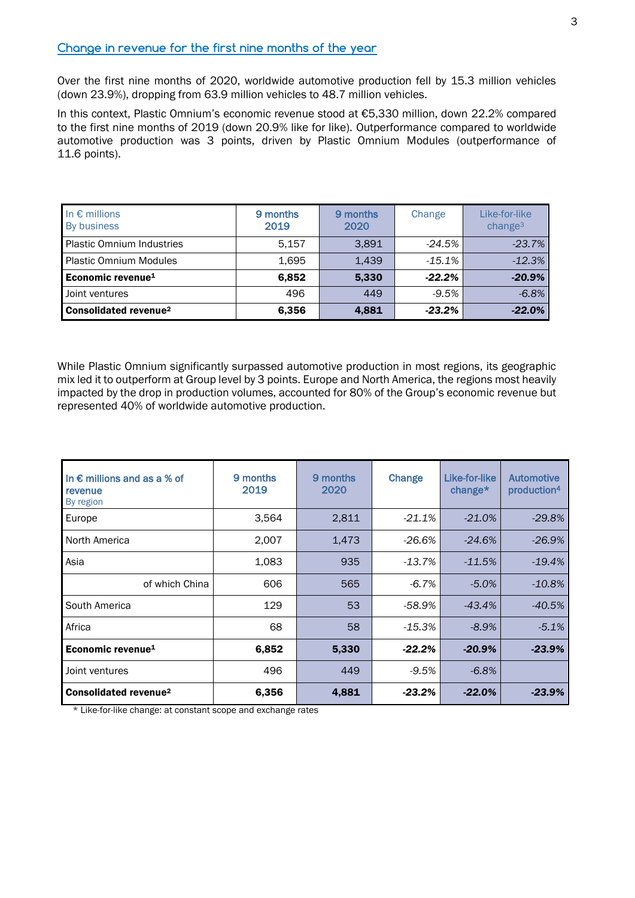#### **Change in revenue for the first nine months of the year**

Over the first nine months of 2020, worldwide automotive production fell by 15.3 million vehicles (down 23.9%), dropping from 63.9 million vehicles to 48.7 million vehicles.

In this context, Plastic Omnium's economic revenue stood at €5,330 million, down 22.2% compared to the first nine months of 2019 (down 20.9% like for like). Outperformance compared to worldwide automotive production was 3 points, driven by Plastic Omnium Modules (outperformance of 11.6 points).

| In $\epsilon$ millions<br>By business   | 9 months<br>2019 | 9 months<br>2020 | Change    | Like-for-like<br>change <sup>3</sup> |
|-----------------------------------------|------------------|------------------|-----------|--------------------------------------|
| <b>Plastic Omnium Industries</b>        | 5.157            | 3.891            | $-24.5\%$ | $-23.7%$                             |
| <b>Plastic Omnium Modules</b>           | 1.695            | 1.439            | $-15.1%$  | $-12.3%$                             |
| Economic revenue <sup>1</sup>           | 6,852            | 5,330            | $-22.2%$  | $-20.9%$                             |
| Joint ventures                          | 496              | 449              | $-9.5%$   | $-6.8%$                              |
| <b>Consolidated revenue<sup>2</sup></b> | 6,356            | 4,881            | $-23.2%$  | $-22.0%$                             |

While Plastic Omnium significantly surpassed automotive production in most regions, its geographic mix led it to outperform at Group level by 3 points. Europe and North America, the regions most heavily impacted by the drop in production volumes, accounted for 80% of the Group's economic revenue but represented 40% of worldwide automotive production.

| In $\epsilon$ millions and as a % of<br>revenue<br>By region | 9 months<br>2019 | 9 months<br>2020 | Change    | Like-for-like<br>change $*$ | Automotive<br>production <sup>4</sup> |
|--------------------------------------------------------------|------------------|------------------|-----------|-----------------------------|---------------------------------------|
| Europe                                                       | 3,564            | 2,811            | $-21.1%$  | $-21.0%$                    | $-29.8%$                              |
| North America                                                | 2,007            | 1,473            | $-26.6%$  | $-24.6%$                    | $-26.9%$                              |
| Asia                                                         | 1,083            | 935              | $-13.7%$  | $-11.5%$                    | $-19.4%$                              |
| of which China                                               | 606              | 565              | $-6.7%$   | $-5.0%$                     | $-10.8%$                              |
| South America                                                | 129              | 53               | -58.9%    | $-43.4%$                    | $-40.5%$                              |
| Africa                                                       | 68               | 58               | $-15.3%$  | $-8.9%$                     | $-5.1%$                               |
| Economic revenue <sup>1</sup>                                | 6,852            | 5,330            | $-22.2%$  | $-20.9%$                    | $-23.9%$                              |
| Joint ventures                                               | 496              | 449              | $-9.5%$   | $-6.8%$                     |                                       |
| Consolidated revenue <sup>2</sup>                            | 6,356            | 4,881            | $-23.2\%$ | $-22.0%$                    | $-23.9%$                              |

\* Like-for-like change: at constant scope and exchange rates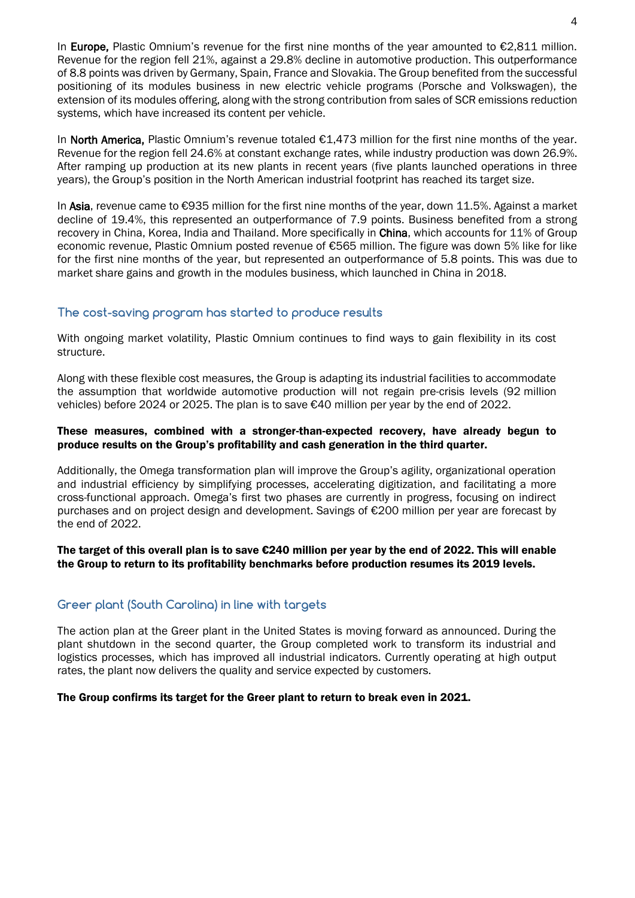In Europe, Plastic Omnium's revenue for the first nine months of the year amounted to €2,811 million. Revenue for the region fell 21%, against a 29.8% decline in automotive production. This outperformance of 8.8 points was driven by Germany, Spain, France and Slovakia. The Group benefited from the successful positioning of its modules business in new electric vehicle programs (Porsche and Volkswagen), the extension of its modules offering, along with the strong contribution from sales of SCR emissions reduction systems, which have increased its content per vehicle.

In North America, Plastic Omnium's revenue totaled €1,473 million for the first nine months of the year. Revenue for the region fell 24.6% at constant exchange rates, while industry production was down 26.9%. After ramping up production at its new plants in recent years (five plants launched operations in three years), the Group's position in the North American industrial footprint has reached its target size.

In Asia, revenue came to €935 million for the first nine months of the year, down 11.5%. Against a market decline of 19.4%, this represented an outperformance of 7.9 points. Business benefited from a strong recovery in China, Korea, India and Thailand. More specifically in China, which accounts for 11% of Group economic revenue, Plastic Omnium posted revenue of €565 million. The figure was down 5% like for like for the first nine months of the year, but represented an outperformance of 5.8 points. This was due to market share gains and growth in the modules business, which launched in China in 2018.

## **The cost-saving program has started to produce results**

With ongoing market volatility, Plastic Omnium continues to find ways to gain flexibility in its cost structure.

Along with these flexible cost measures, the Group is adapting its industrial facilities to accommodate the assumption that worldwide automotive production will not regain pre-crisis levels (92 million vehicles) before 2024 or 2025. The plan is to save €40 million per year by the end of 2022.

## These measures, combined with a stronger-than-expected recovery, have already begun to produce results on the Group's profitability and cash generation in the third quarter.

Additionally, the Omega transformation plan will improve the Group's agility, organizational operation and industrial efficiency by simplifying processes, accelerating digitization, and facilitating a more cross-functional approach. Omega's first two phases are currently in progress, focusing on indirect purchases and on project design and development. Savings of €200 million per year are forecast by the end of 2022.

The target of this overall plan is to save  $\epsilon$ 240 million per year by the end of 2022. This will enable the Group to return to its profitability benchmarks before production resumes its 2019 levels.

## **Greer plant (South Carolina) in line with targets**

The action plan at the Greer plant in the United States is moving forward as announced. During the plant shutdown in the second quarter, the Group completed work to transform its industrial and logistics processes, which has improved all industrial indicators. Currently operating at high output rates, the plant now delivers the quality and service expected by customers.

#### The Group confirms its target for the Greer plant to return to break even in 2021.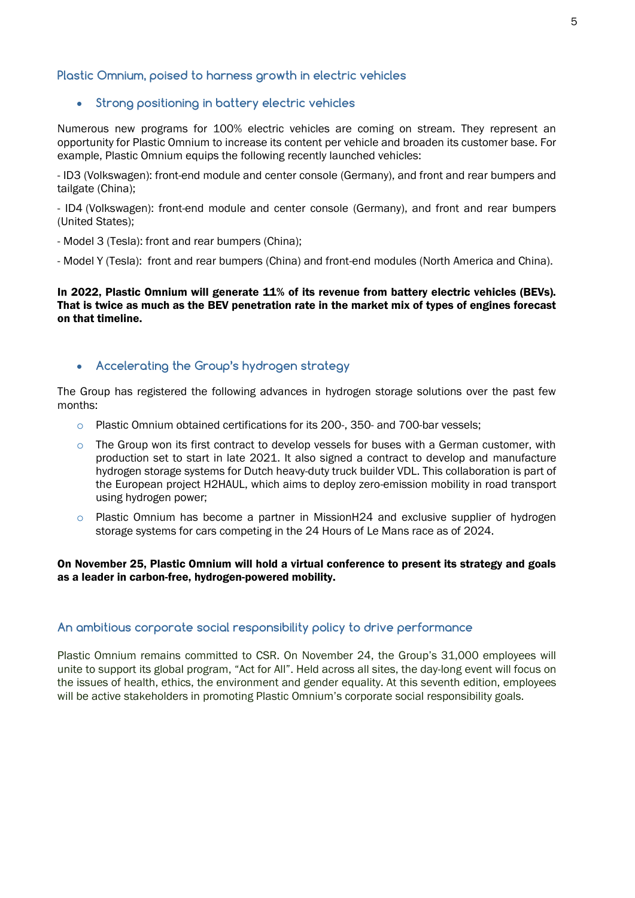## **Plastic Omnium, poised to harness growth in electric vehicles**

### **Strong positioning in battery electric vehicles**

Numerous new programs for 100% electric vehicles are coming on stream. They represent an opportunity for Plastic Omnium to increase its content per vehicle and broaden its customer base. For example, Plastic Omnium equips the following recently launched vehicles:

- ID3 (Volkswagen): front-end module and center console (Germany), and front and rear bumpers and tailgate (China);

- ID4 (Volkswagen): front-end module and center console (Germany), and front and rear bumpers (United States);

- Model 3 (Tesla): front and rear bumpers (China);

- Model Y (Tesla): front and rear bumpers (China) and front-end modules (North America and China).

In 2022, Plastic Omnium will generate 11% of its revenue from battery electric vehicles (BEVs). That is twice as much as the BEV penetration rate in the market mix of types of engines forecast on that timeline.

## **Accelerating the Group's hydrogen strategy**

The Group has registered the following advances in hydrogen storage solutions over the past few months:

- o Plastic Omnium obtained certifications for its 200-, 350- and 700-bar vessels;
- $\circ$  The Group won its first contract to develop vessels for buses with a German customer, with production set to start in late 2021. It also signed a contract to develop and manufacture hydrogen storage systems for Dutch heavy-duty truck builder VDL. This collaboration is part of the European project H2HAUL, which aims to deploy zero-emission mobility in road transport using hydrogen power;
- $\circ$  Plastic Omnium has become a partner in MissionH24 and exclusive supplier of hydrogen storage systems for cars competing in the 24 Hours of Le Mans race as of 2024.

#### On November 25, Plastic Omnium will hold a virtual conference to present its strategy and goals as a leader in carbon-free, hydrogen-powered mobility.

#### **An ambitious corporate social responsibility policy to drive performance**

Plastic Omnium remains committed to CSR. On November 24, the Group's 31,000 employees will unite to support its global program, "Act for All". Held across all sites, the day-long event will focus on the issues of health, ethics, the environment and gender equality. At this seventh edition, employees will be active stakeholders in promoting Plastic Omnium's corporate social responsibility goals.